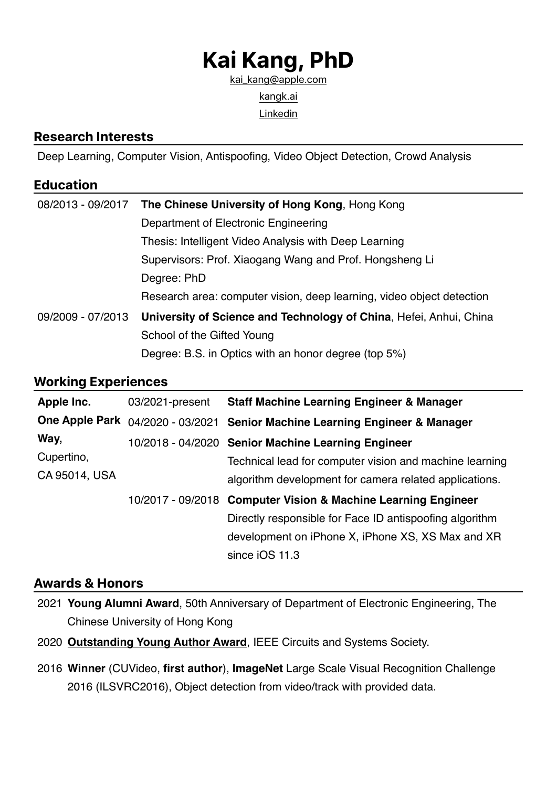# **Kai Kang, PhD**

[kai\\_kang@apple.com](mailto:kai_kang@apple.com) [kangk.ai](http://kangk.ai) **[Linkedin](https://www.linkedin.com/in/myfavouritekk/)** 

#### **Research Interests**

Deep Learning, Computer Vision, Antispoofing, Video Object Detection, Crowd Analysis

# **Education**

| 08/2013 - 09/2017 | The Chinese University of Hong Kong, Hong Kong                        |  |
|-------------------|-----------------------------------------------------------------------|--|
|                   | Department of Electronic Engineering                                  |  |
|                   | Thesis: Intelligent Video Analysis with Deep Learning                 |  |
|                   | Supervisors: Prof. Xiaogang Wang and Prof. Hongsheng Li               |  |
|                   | Degree: PhD                                                           |  |
|                   | Research area: computer vision, deep learning, video object detection |  |
| 09/2009 - 07/2013 | University of Science and Technology of China, Hefei, Anhui, China    |  |
|                   | School of the Gifted Young                                            |  |
|                   | Degree: B.S. in Optics with an honor degree (top 5%)                  |  |

## **Working Experiences**

| Apple Inc.                          | 03/2021-present | <b>Staff Machine Learning Engineer &amp; Manager</b>                        |
|-------------------------------------|-----------------|-----------------------------------------------------------------------------|
|                                     |                 | One Apple Park 04/2020 - 03/2021 Senior Machine Learning Engineer & Manager |
| Way,<br>Cupertino,<br>CA 95014, USA |                 | 10/2018 - 04/2020 Senior Machine Learning Engineer                          |
|                                     |                 | Technical lead for computer vision and machine learning                     |
|                                     |                 | algorithm development for camera related applications.                      |
|                                     |                 | 10/2017 - 09/2018 Computer Vision & Machine Learning Engineer               |
|                                     |                 | Directly responsible for Face ID antispoofing algorithm                     |
|                                     |                 | development on iPhone X, iPhone XS, XS Max and XR                           |
|                                     |                 | since iOS 11.3                                                              |

## **Awards & Honors**

- 2021 **Young Alumni Award**, 50th Anniversary of Department of Electronic Engineering, The Chinese University of Hong Kong
- 2020 **[Outstanding Young Author Award](https://ieee-cas.org/outstanding-young-author-award)**, IEEE Circuits and Systems Society.
- 2016 **Winner** (CUVideo, **first author**), **ImageNet** Large Scale Visual Recognition Challenge 2016 (ILSVRC2016), Object detection from video/track with provided data.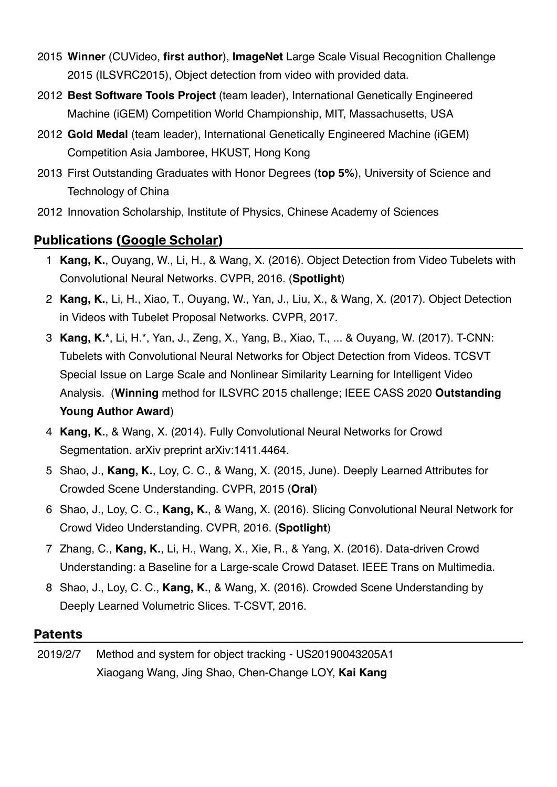- 2015 **Winner** (CUVideo, **first author**), **ImageNet** Large Scale Visual Recognition Challenge 2015 (ILSVRC2015), Object detection from video with provided data.
- 2012 **Best Software Tools Project** (team leader), International Genetically Engineered Machine (iGEM) Competition World Championship, MIT, Massachusetts, USA
- 2012 **Gold Medal** (team leader), International Genetically Engineered Machine (iGEM) Competition Asia Jamboree, HKUST, Hong Kong
- 2013 First Outstanding Graduates with Honor Degrees (**top 5%**), University of Science and Technology of China
- 2012 Innovation Scholarship, Institute of Physics, Chinese Academy of Sciences

# **Publications ([Google Scholar](https://scholar.google.com/citations?user=brEBMIkAAAAJ))**

- 1 **Kang, K.**, Ouyang, W., Li, H., & Wang, X. (2016). Object Detection from Video Tubelets with Convolutional Neural Networks. CVPR, 2016. (**Spotlight**)
- 2 **Kang, K.**, Li, H., Xiao, T., Ouyang, W., Yan, J., Liu, X., & Wang, X. (2017). Object Detection in Videos with Tubelet Proposal Networks. CVPR, 2017.
- 3 **Kang, K.\***, Li, H.\*, Yan, J., Zeng, X., Yang, B., Xiao, T., ... & Ouyang, W. (2017). T-CNN: Tubelets with Convolutional Neural Networks for Object Detection from Videos. TCSVT Special Issue on Large Scale and Nonlinear Similarity Learning for Intelligent Video Analysis. (**Winning** method for ILSVRC 2015 challenge; IEEE CASS 2020 **Outstanding Young Author Award**)
- 4 **Kang, K.**, & Wang, X. (2014). Fully Convolutional Neural Networks for Crowd Segmentation. arXiv preprint arXiv:1411.4464.
- 5 Shao, J., **Kang, K.**, Loy, C. C., & Wang, X. (2015, June). Deeply Learned Attributes for Crowded Scene Understanding. CVPR, 2015 (**Oral**)
- 6 Shao, J., Loy, C. C., **Kang, K.**, & Wang, X. (2016). Slicing Convolutional Neural Network for Crowd Video Understanding. CVPR, 2016. (**Spotlight**)
- 7 Zhang, C., **Kang, K.**, Li, H., Wang, X., Xie, R., & Yang, X. (2016). Data-driven Crowd Understanding: a Baseline for a Large-scale Crowd Dataset. IEEE Trans on Multimedia.
- 8 Shao, J., Loy, C. C., **Kang, K.**, & Wang, X. (2016). Crowded Scene Understanding by Deeply Learned Volumetric Slices. T-CSVT, 2016.

#### **Patents**

2019/2/7 Method and system for object tracking - US20190043205A1 Xiaogang Wang, Jing Shao, Chen-Change LOY, **Kai Kang**